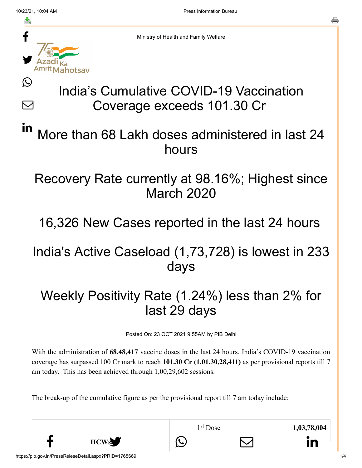Ŀ

 $\bm{\nabla}$ 

in



Ministry of Health and Family Welfare

# India's Cumulative COVID-19 Vaccination Coverage exceeds 101.30 Cr

## More than 68 Lakh doses administered in last 24 hours

## Recovery Rate currently at 98.16%; Highest since March 2020

## 16,326 New Cases reported in the last 24 hours

### India's Active Caseload (1,73,728) is lowest in 233 days

## Weekly Positivity Rate (1.24%) less than 2% for last 29 days

Posted On: 23 OCT 2021 9:55AM by PIB Delhi

With the administration of **68,48,417** vaccine doses in the last 24 hours, India's COVID-19 vaccination coverage has surpassed 100 Cr mark to reach **101.30 Cr (1,01,30,28,411)** as per provisional reports till 7 am today. This has been achieved through 1,00,29,602 sessions.

 $f$  HCWs  $\bigcirc$   $\Box$  in

The break-up of the cumulative figure as per the provisional report till 7 am today include:

**HCWs**

1<sup>st</sup> Dose 1,03,78,004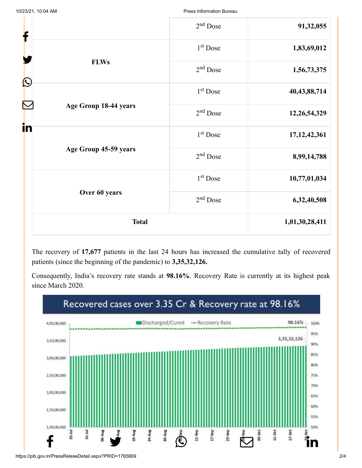| Press Information Bureau |  |
|--------------------------|--|
|                          |  |

| f                     | $2nd$ Dose           | 91,32,055       |
|-----------------------|----------------------|-----------------|
|                       | 1 <sup>st</sup> Dose | 1,83,69,012     |
| <b>FLWs</b>           | $2nd$ Dose           | 1,56,73,375     |
| $\bigcirc$            | 1 <sup>st</sup> Dose | 40, 43, 88, 714 |
| Age Group 18-44 years | $2nd$ Dose           | 12,26,54,329    |
| in                    | $1st$ Dose           | 17, 12, 42, 361 |
| Age Group 45-59 years | $2nd$ Dose           | 8,99,14,788     |
|                       | 1 <sup>st</sup> Dose | 10,77,01,034    |
| Over 60 years         | 2 <sup>nd</sup> Dose | 6,32,40,508     |
| <b>Total</b>          |                      | 1,01,30,28,411  |

The recovery of **17,677** patients in the last 24 hours has increased the cumulative tally of recovered patients (since the beginning of the pandemic) to **3,35,32,126.**

Consequently, India's recovery rate stands at **98.16%**. Recovery Rate is currently at its highest peak since March 2020.



https://pib.gov.in/PressReleseDetail.aspx?PRID=1765669 2/4

10/23/21, 10:04 AM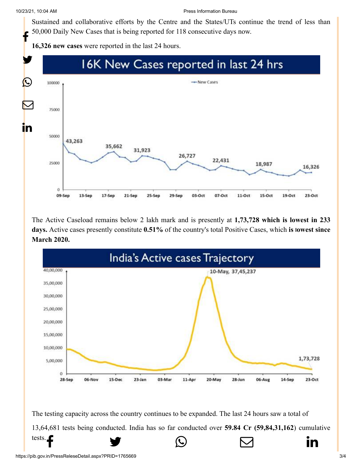10/23/21, 10:04 AM Press Information Bureau

[Sustained and co](http://www.facebook.com/share.php?u=https://pib.gov.in/PressReleasePage.aspx?PRID=1765892)[llaborative efforts by t](https://twitter.com/intent/tweet?url=https://pib.gov.in/PressReleasePage.aspx?PRID=1765892&text=India%E2%80%99s%20Cumulative%20COVID-19%20Vaccination%20Coverage%20exceeds%20101.30%20Cr)[he Centre and the Sta](https://api.whatsapp.com/send?text=https://pib.gov.in/PressReleasePage.aspx?PRID=1765892)[tes/UTs continue the t](https://mail.google.com/mail/?view=cm&fs=1&tf=1&to=&su=India%E2%80%99s%20Cumulative%20COVID-19%20Vaccination%20Coverage%20exceeds%20101.30%20Cr%20&body=https://pib.gov.in/PressReleasePage.aspx?PRID=1765892&ui=2&tf=1&pli=1)[rend of less than](https://www.linkedin.com/shareArticle?mini=true&url=https://pib.gov.in/PressReleasePage.aspx?PRID=1765892&title=India%E2%80%99s%20Cumulative%20COVID-19%20Vaccination%20Coverage%20exceeds%20101.30%20Cr%20&summary=My%20favorite%20developer%20program&source=LinkedIn) 50,000 Daily New Cases that is being reported for 118 consecutive days now. f

**16,326 new cases** were reported in the last 24 hours.



The Active Caseload remains below 2 lakh mark and is presently at **1,73,728 which is lowest in 233 days.** Active cases presently constitute **0.51%** of the country's total Positive Cases, which **is lowest since March 2020.**



The testing capacity across the country continues to be expanded. The last 24 hours saw a total of [13,64,681 tests be](http://www.facebook.com/share.php?u=https://pib.gov.in/PressReleasePage.aspx?PRID=1765892)[ing conducted. India h](https://twitter.com/intent/tweet?url=https://pib.gov.in/PressReleasePage.aspx?PRID=1765892&text=India%E2%80%99s%20Cumulative%20COVID-19%20Vaccination%20Coverage%20exceeds%20101.30%20Cr)[as so far conducted ov](https://api.whatsapp.com/send?text=https://pib.gov.in/PressReleasePage.aspx?PRID=1765892)er **59.84 Cr (59,84,31,162**) cumulative tests. Fig.  $\bullet$   $\bullet$   $\bullet$   $\bullet$   $\bullet$  in